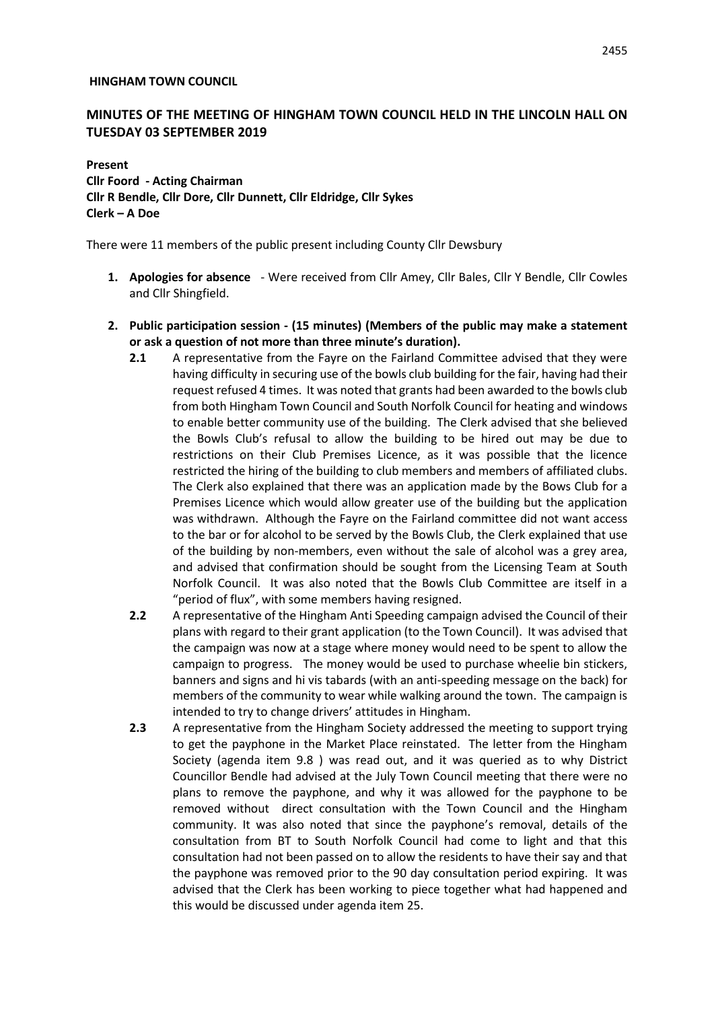#### **HINGHAM TOWN COUNCIL**

# **MINUTES OF THE MEETING OF HINGHAM TOWN COUNCIL HELD IN THE LINCOLN HALL ON TUESDAY 03 SEPTEMBER 2019**

# **Present Cllr Foord - Acting Chairman Cllr R Bendle, Cllr Dore, Cllr Dunnett, Cllr Eldridge, Cllr Sykes Clerk – A Doe**

There were 11 members of the public present including County Cllr Dewsbury

- **1. Apologies for absence** Were received from Cllr Amey, Cllr Bales, Cllr Y Bendle, Cllr Cowles and Cllr Shingfield.
- **2. Public participation session - (15 minutes) (Members of the public may make a statement or ask a question of not more than three minute's duration).**
	- **2.1** A representative from the Fayre on the Fairland Committee advised that they were having difficulty in securing use of the bowls club building for the fair, having had their request refused 4 times. It was noted that grants had been awarded to the bowls club from both Hingham Town Council and South Norfolk Council for heating and windows to enable better community use of the building. The Clerk advised that she believed the Bowls Club's refusal to allow the building to be hired out may be due to restrictions on their Club Premises Licence, as it was possible that the licence restricted the hiring of the building to club members and members of affiliated clubs. The Clerk also explained that there was an application made by the Bows Club for a Premises Licence which would allow greater use of the building but the application was withdrawn. Although the Fayre on the Fairland committee did not want access to the bar or for alcohol to be served by the Bowls Club, the Clerk explained that use of the building by non-members, even without the sale of alcohol was a grey area, and advised that confirmation should be sought from the Licensing Team at South Norfolk Council. It was also noted that the Bowls Club Committee are itself in a "period of flux", with some members having resigned.
	- **2.2** A representative of the Hingham Anti Speeding campaign advised the Council of their plans with regard to their grant application (to the Town Council). It was advised that the campaign was now at a stage where money would need to be spent to allow the campaign to progress. The money would be used to purchase wheelie bin stickers, banners and signs and hi vis tabards (with an anti-speeding message on the back) for members of the community to wear while walking around the town. The campaign is intended to try to change drivers' attitudes in Hingham.
	- **2.3** A representative from the Hingham Society addressed the meeting to support trying to get the payphone in the Market Place reinstated. The letter from the Hingham Society (agenda item 9.8 ) was read out, and it was queried as to why District Councillor Bendle had advised at the July Town Council meeting that there were no plans to remove the payphone, and why it was allowed for the payphone to be removed without direct consultation with the Town Council and the Hingham community. It was also noted that since the payphone's removal, details of the consultation from BT to South Norfolk Council had come to light and that this consultation had not been passed on to allow the residents to have their say and that the payphone was removed prior to the 90 day consultation period expiring. It was advised that the Clerk has been working to piece together what had happened and this would be discussed under agenda item 25.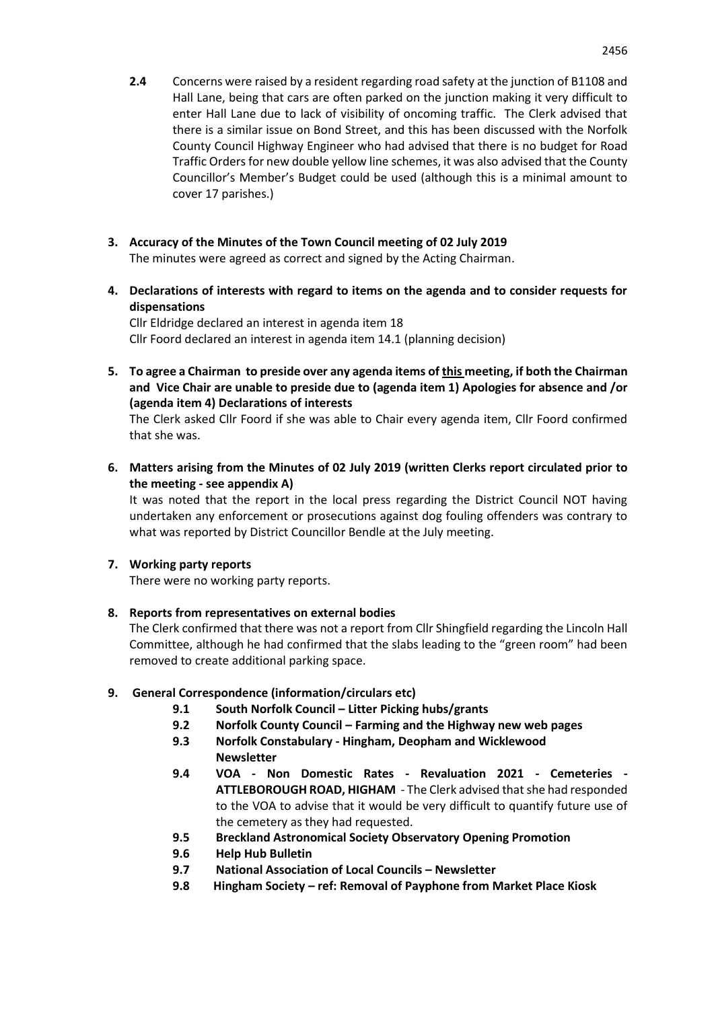- **2.4** Concerns were raised by a resident regarding road safety at the junction of B1108 and Hall Lane, being that cars are often parked on the junction making it very difficult to enter Hall Lane due to lack of visibility of oncoming traffic. The Clerk advised that there is a similar issue on Bond Street, and this has been discussed with the Norfolk County Council Highway Engineer who had advised that there is no budget for Road Traffic Orders for new double yellow line schemes, it was also advised that the County Councillor's Member's Budget could be used (although this is a minimal amount to cover 17 parishes.)
- **3. Accuracy of the Minutes of the Town Council meeting of 02 July 2019** The minutes were agreed as correct and signed by the Acting Chairman.
- **4. Declarations of interests with regard to items on the agenda and to consider requests for dispensations**

Cllr Eldridge declared an interest in agenda item 18 Cllr Foord declared an interest in agenda item 14.1 (planning decision)

**5. To agree a Chairman to preside over any agenda items of this meeting, if both the Chairman and Vice Chair are unable to preside due to (agenda item 1) Apologies for absence and /or (agenda item 4) Declarations of interests**

The Clerk asked Cllr Foord if she was able to Chair every agenda item, Cllr Foord confirmed that she was.

**6. Matters arising from the Minutes of 02 July 2019 (written Clerks report circulated prior to the meeting - see appendix A)**

It was noted that the report in the local press regarding the District Council NOT having undertaken any enforcement or prosecutions against dog fouling offenders was contrary to what was reported by District Councillor Bendle at the July meeting.

# **7. Working party reports**

There were no working party reports.

# **8. Reports from representatives on external bodies**

The Clerk confirmed that there was not a report from Cllr Shingfield regarding the Lincoln Hall Committee, although he had confirmed that the slabs leading to the "green room" had been removed to create additional parking space.

# **9. General Correspondence (information/circulars etc)**

- **9.1 South Norfolk Council – Litter Picking hubs/grants**
- **9.2 Norfolk County Council – Farming and the Highway new web pages**
- **9.3 Norfolk Constabulary - Hingham, Deopham and Wicklewood Newsletter**
- **9.4 VOA - Non Domestic Rates - Revaluation 2021 - Cemeteries - ATTLEBOROUGH ROAD, HIGHAM** - The Clerk advised that she had responded to the VOA to advise that it would be very difficult to quantify future use of the cemetery as they had requested.
- **9.5 Breckland Astronomical Society Observatory Opening Promotion**
- **9.6 Help Hub Bulletin**
- **9.7 National Association of Local Councils – Newsletter**
- **9.8 Hingham Society – ref: Removal of Payphone from Market Place Kiosk**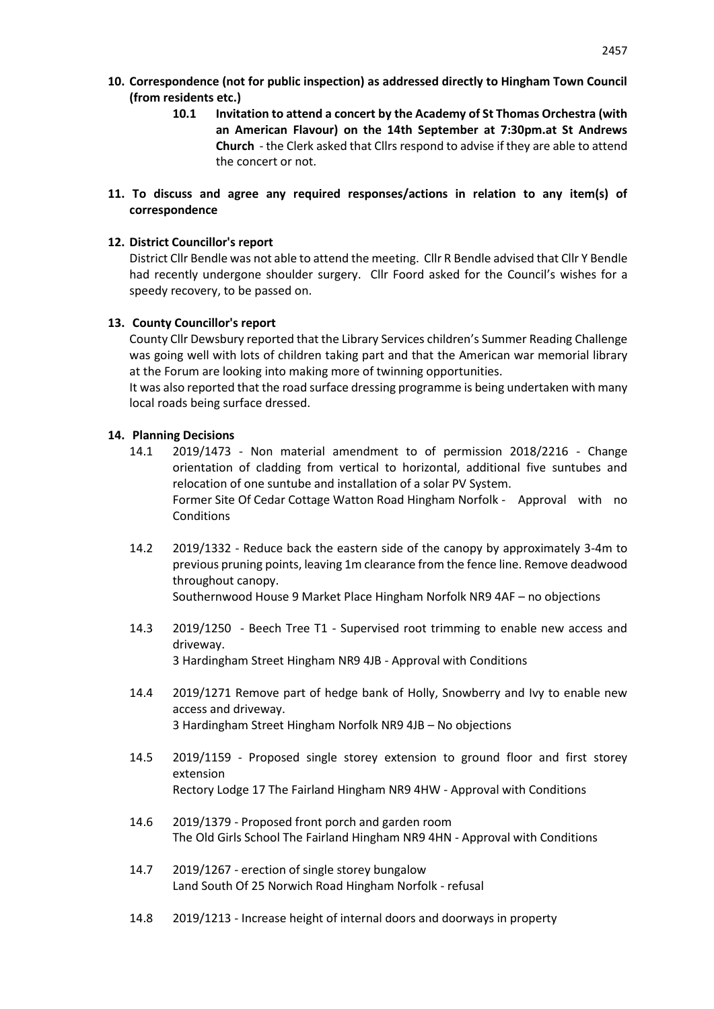- **10. Correspondence (not for public inspection) as addressed directly to Hingham Town Council (from residents etc.)**
	- **10.1 Invitation to attend a concert by the Academy of St Thomas Orchestra (with an American Flavour) on the 14th September at 7:30pm.at St Andrews Church** - the Clerk asked that Cllrs respond to advise if they are able to attend the concert or not.
- **11. To discuss and agree any required responses/actions in relation to any item(s) of correspondence**

### **12. District Councillor's report**

District Cllr Bendle was not able to attend the meeting. Cllr R Bendle advised that Cllr Y Bendle had recently undergone shoulder surgery. Cllr Foord asked for the Council's wishes for a speedy recovery, to be passed on.

#### **13. County Councillor's report**

County Cllr Dewsbury reported that the Library Services children's Summer Reading Challenge was going well with lots of children taking part and that the American war memorial library at the Forum are looking into making more of twinning opportunities.

It was also reported that the road surface dressing programme is being undertaken with many local roads being surface dressed.

#### **14. Planning Decisions**

- 14.1 2019/1473 Non material amendment to of permission 2018/2216 Change orientation of cladding from vertical to horizontal, additional five suntubes and relocation of one suntube and installation of a solar PV System. Former Site Of Cedar Cottage Watton Road Hingham Norfolk - Approval with no Conditions
- 14.2 2019/1332 Reduce back the eastern side of the canopy by approximately 3-4m to previous pruning points, leaving 1m clearance from the fence line. Remove deadwood throughout canopy.

Southernwood House 9 Market Place Hingham Norfolk NR9 4AF – no objections

- 14.3 2019/1250 Beech Tree T1 Supervised root trimming to enable new access and driveway. 3 Hardingham Street Hingham NR9 4JB - Approval with Conditions
- 14.4 2019/1271 Remove part of hedge bank of Holly, Snowberry and Ivy to enable new access and driveway. 3 Hardingham Street Hingham Norfolk NR9 4JB – No objections
- 14.5 2019/1159 Proposed single storey extension to ground floor and first storey extension Rectory Lodge 17 The Fairland Hingham NR9 4HW - Approval with Conditions
- 14.6 2019/1379 Proposed front porch and garden room The Old Girls School The Fairland Hingham NR9 4HN - Approval with Conditions
- 14.7 2019/1267 erection of single storey bungalow Land South Of 25 Norwich Road Hingham Norfolk - refusal
- 14.8 2019/1213 Increase height of internal doors and doorways in property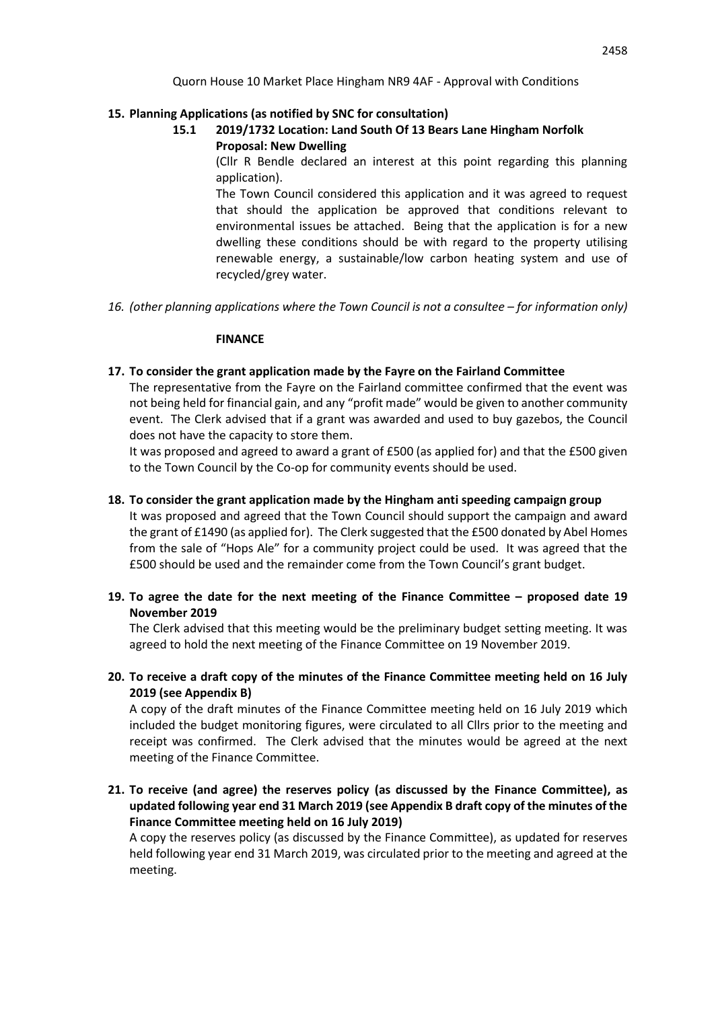# **15. Planning Applications (as notified by SNC for consultation)**

**15.1 2019/1732 Location: Land South Of 13 Bears Lane Hingham Norfolk Proposal: New Dwelling**

> (Cllr R Bendle declared an interest at this point regarding this planning application).

> The Town Council considered this application and it was agreed to request that should the application be approved that conditions relevant to environmental issues be attached. Being that the application is for a new dwelling these conditions should be with regard to the property utilising renewable energy, a sustainable/low carbon heating system and use of recycled/grey water.

16. *(other planning applications where the Town Council is not a consultee – for information only)* 

# **FINANCE**

# **17. To consider the grant application made by the Fayre on the Fairland Committee**

The representative from the Fayre on the Fairland committee confirmed that the event was not being held for financial gain, and any "profit made" would be given to another community event. The Clerk advised that if a grant was awarded and used to buy gazebos, the Council does not have the capacity to store them.

It was proposed and agreed to award a grant of £500 (as applied for) and that the £500 given to the Town Council by the Co-op for community events should be used.

# **18. To consider the grant application made by the Hingham anti speeding campaign group**

It was proposed and agreed that the Town Council should support the campaign and award the grant of £1490 (as applied for). The Clerk suggested that the £500 donated by Abel Homes from the sale of "Hops Ale" for a community project could be used. It was agreed that the £500 should be used and the remainder come from the Town Council's grant budget.

**19. To agree the date for the next meeting of the Finance Committee – proposed date 19 November 2019**

The Clerk advised that this meeting would be the preliminary budget setting meeting. It was agreed to hold the next meeting of the Finance Committee on 19 November 2019.

**20. To receive a draft copy of the minutes of the Finance Committee meeting held on 16 July 2019 (see Appendix B)**

A copy of the draft minutes of the Finance Committee meeting held on 16 July 2019 which included the budget monitoring figures, were circulated to all Cllrs prior to the meeting and receipt was confirmed. The Clerk advised that the minutes would be agreed at the next meeting of the Finance Committee.

**21. To receive (and agree) the reserves policy (as discussed by the Finance Committee), as updated following year end 31 March 2019 (see Appendix B draft copy of the minutes of the Finance Committee meeting held on 16 July 2019)**

A copy the reserves policy (as discussed by the Finance Committee), as updated for reserves held following year end 31 March 2019, was circulated prior to the meeting and agreed at the meeting.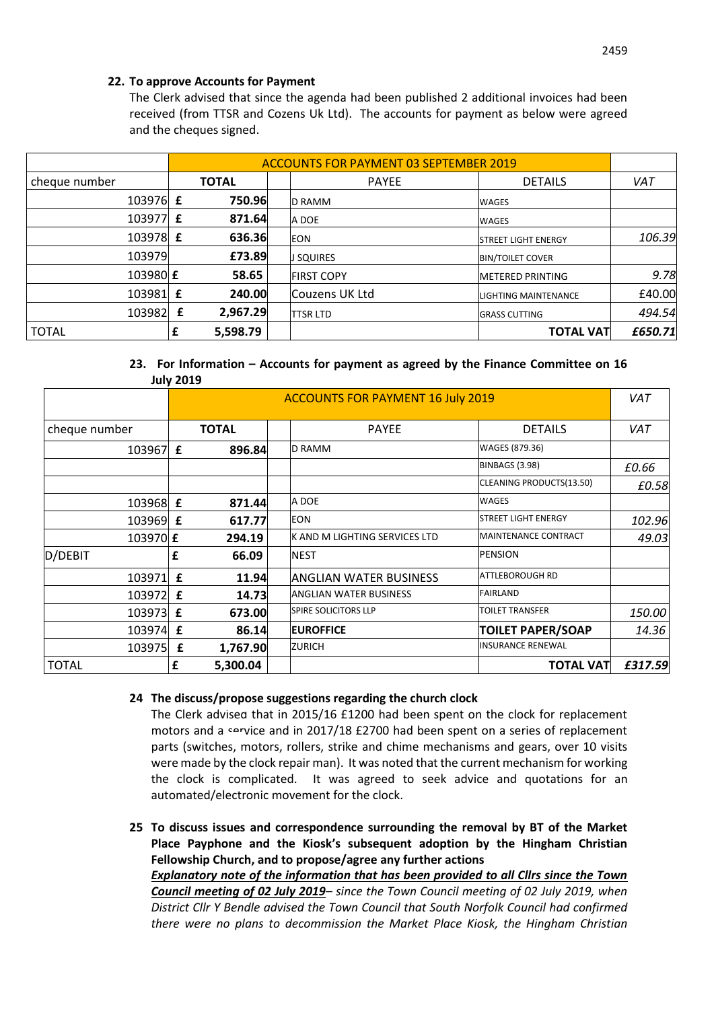# **22. To approve Accounts for Payment**

The Clerk advised that since the agenda had been published 2 additional invoices had been received (from TTSR and Cozens Uk Ltd). The accounts for payment as below were agreed and the cheques signed.

|               | <b>ACCOUNTS FOR PAYMENT 03 SEPTEMBER 2019</b> |  |                   |                             |            |
|---------------|-----------------------------------------------|--|-------------------|-----------------------------|------------|
| cheque number | <b>TOTAL</b>                                  |  | <b>PAYEE</b>      | <b>DETAILS</b>              | <b>VAT</b> |
| 103976 £      | 750.96                                        |  | <b>ID RAMM</b>    | <b>WAGES</b>                |            |
| 103977 £      | 871.64                                        |  | A DOE             | <b>WAGES</b>                |            |
| 103978 £      | 636.36                                        |  | <b>EON</b>        | <b>ISTREET LIGHT ENERGY</b> | 106.39     |
| 103979        | £73.89                                        |  | <b>J SQUIRES</b>  | <b>BIN/TOILET COVER</b>     |            |
| 103980 £      | 58.65                                         |  | <b>FIRST COPY</b> | <b>METERED PRINTING</b>     | 9.78       |
| 103981 £      | 240.00                                        |  | Couzens UK Ltd    | LIGHTING MAINTENANCE        | £40.00     |
| 103982        | 2,967.29<br>£                                 |  | <b>TTSR LTD</b>   | <b>GRASS CUTTING</b>        | 494.54     |
| <b>TOTAL</b>  | 5,598.79                                      |  |                   | <b>TOTAL VAT</b>            | £650.71    |

#### **23. For Information – Accounts for payment as agreed by the Finance Committee on 16 July 2019**

|               | JUIV LUIJ    |          |                                          |                             |            |
|---------------|--------------|----------|------------------------------------------|-----------------------------|------------|
|               |              |          | <b>ACCOUNTS FOR PAYMENT 16 July 2019</b> |                             |            |
| cheque number | <b>TOTAL</b> |          | <b>PAYEE</b>                             | <b>DETAILS</b>              | <b>VAT</b> |
| 103967        | £            | 896.84   | <b>D RAMM</b>                            | WAGES (879.36)              |            |
|               |              |          |                                          | <b>BINBAGS (3.98)</b>       | £0.66      |
|               |              |          |                                          | CLEANING PRODUCTS(13.50)    | £0.58      |
| 103968 £      |              | 871.44   | A DOE                                    | <b>WAGES</b>                |            |
| 103969 £      |              | 617.77   | <b>EON</b>                               | <b>STREET LIGHT ENERGY</b>  | 102.96     |
| 103970 £      |              | 294.19   | IK AND M LIGHTING SERVICES LTD           | <b>MAINTENANCE CONTRACT</b> | 49.03      |
| D/DEBIT       | £            | 66.09    | <b>NEST</b>                              | <b>PENSION</b>              |            |
| 103971 £      |              | 11.94    | <b>ANGLIAN WATER BUSINESS</b>            | ATTLEBOROUGH RD             |            |
| 103972        | £            | 14.73    | <b>ANGLIAN WATER BUSINESS</b>            | <b>FAIRLAND</b>             |            |
| 103973 £      |              | 673.00   | <b>SPIRE SOLICITORS LLP</b>              | <b>TOILET TRANSFER</b>      | 150.00     |
| 103974        | £            | 86.14    | <b>EUROFFICE</b>                         | <b>TOILET PAPER/SOAP</b>    | 14.36      |
| 103975        | £            | 1,767.90 | <b>ZURICH</b>                            | <b>INSURANCE RENEWAL</b>    |            |
| <b>TOTAL</b>  | £            | 5,300.04 |                                          | <b>TOTAL VAT</b>            | £317.59    |

# **24 The discuss/propose suggestions regarding the church clock**

The Clerk advised that in 2015/16 £1200 had been spent on the clock for replacement motors and a service and in 2017/18 £2700 had been spent on a series of replacement parts (switches, motors, rollers, strike and chime mechanisms and gears, over 10 visits were made by the clock repair man). It was noted that the current mechanism for working the clock is complicated. It was agreed to seek advice and quotations for an automated/electronic movement for the clock.

**25 To discuss issues and correspondence surrounding the removal by BT of the Market Place Payphone and the Kiosk's subsequent adoption by the Hingham Christian Fellowship Church, and to propose/agree any further actions** *Explanatory note of the information that has been provided to all Cllrs since the Town Council meeting of 02 July 2019– since the Town Council meeting of 02 July 2019, when District Cllr Y Bendle advised the Town Council that South Norfolk Council had confirmed* 

*there were no plans to decommission the Market Place Kiosk, the Hingham Christian*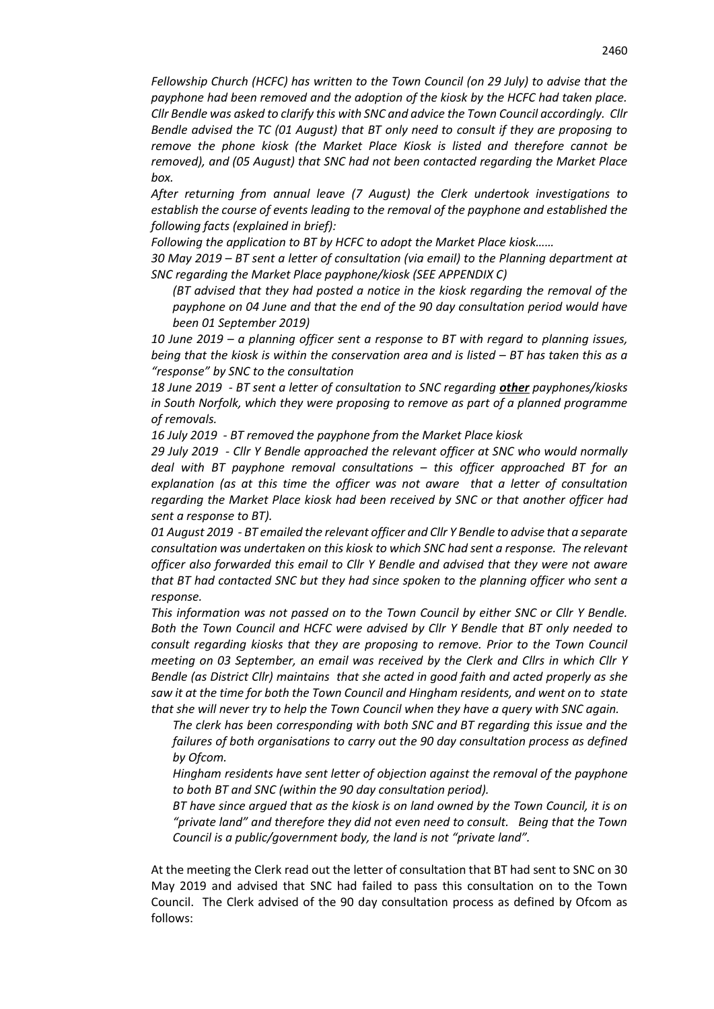*Fellowship Church (HCFC) has written to the Town Council (on 29 July) to advise that the payphone had been removed and the adoption of the kiosk by the HCFC had taken place. Cllr Bendle was asked to clarify this with SNC and advice the Town Council accordingly. Cllr Bendle advised the TC (01 August) that BT only need to consult if they are proposing to remove the phone kiosk (the Market Place Kiosk is listed and therefore cannot be removed), and (05 August) that SNC had not been contacted regarding the Market Place box.* 

*After returning from annual leave (7 August) the Clerk undertook investigations to establish the course of events leading to the removal of the payphone and established the following facts (explained in brief):*

*Following the application to BT by HCFC to adopt the Market Place kiosk……*

*30 May 2019 – BT sent a letter of consultation (via email) to the Planning department at SNC regarding the Market Place payphone/kiosk (SEE APPENDIX C)*

*(BT advised that they had posted a notice in the kiosk regarding the removal of the payphone on 04 June and that the end of the 90 day consultation period would have been 01 September 2019)*

*10 June 2019 – a planning officer sent a response to BT with regard to planning issues, being that the kiosk is within the conservation area and is listed – BT has taken this as a "response" by SNC to the consultation*

*18 June 2019 - BT sent a letter of consultation to SNC regarding other payphones/kiosks in South Norfolk, which they were proposing to remove as part of a planned programme of removals.*

*16 July 2019 - BT removed the payphone from the Market Place kiosk*

*29 July 2019 - Cllr Y Bendle approached the relevant officer at SNC who would normally deal with BT payphone removal consultations – this officer approached BT for an explanation (as at this time the officer was not aware that a letter of consultation regarding the Market Place kiosk had been received by SNC or that another officer had sent a response to BT).*

*01 August 2019 - BT emailed the relevant officer and Cllr Y Bendle to advise that a separate consultation was undertaken on this kiosk to which SNC had sent a response. The relevant officer also forwarded this email to Cllr Y Bendle and advised that they were not aware that BT had contacted SNC but they had since spoken to the planning officer who sent a response.*

*This information was not passed on to the Town Council by either SNC or Cllr Y Bendle. Both the Town Council and HCFC were advised by Cllr Y Bendle that BT only needed to consult regarding kiosks that they are proposing to remove. Prior to the Town Council meeting on 03 September, an email was received by the Clerk and Cllrs in which Cllr Y Bendle (as District Cllr) maintains that she acted in good faith and acted properly as she saw it at the time for both the Town Council and Hingham residents, and went on to state that she will never try to help the Town Council when they have a query with SNC again.*

*The clerk has been corresponding with both SNC and BT regarding this issue and the failures of both organisations to carry out the 90 day consultation process as defined by Ofcom.*

*Hingham residents have sent letter of objection against the removal of the payphone to both BT and SNC (within the 90 day consultation period).*

*BT have since argued that as the kiosk is on land owned by the Town Council, it is on "private land" and therefore they did not even need to consult. Being that the Town Council is a public/government body, the land is not "private land".* 

At the meeting the Clerk read out the letter of consultation that BT had sent to SNC on 30 May 2019 and advised that SNC had failed to pass this consultation on to the Town Council. The Clerk advised of the 90 day consultation process as defined by Ofcom as follows: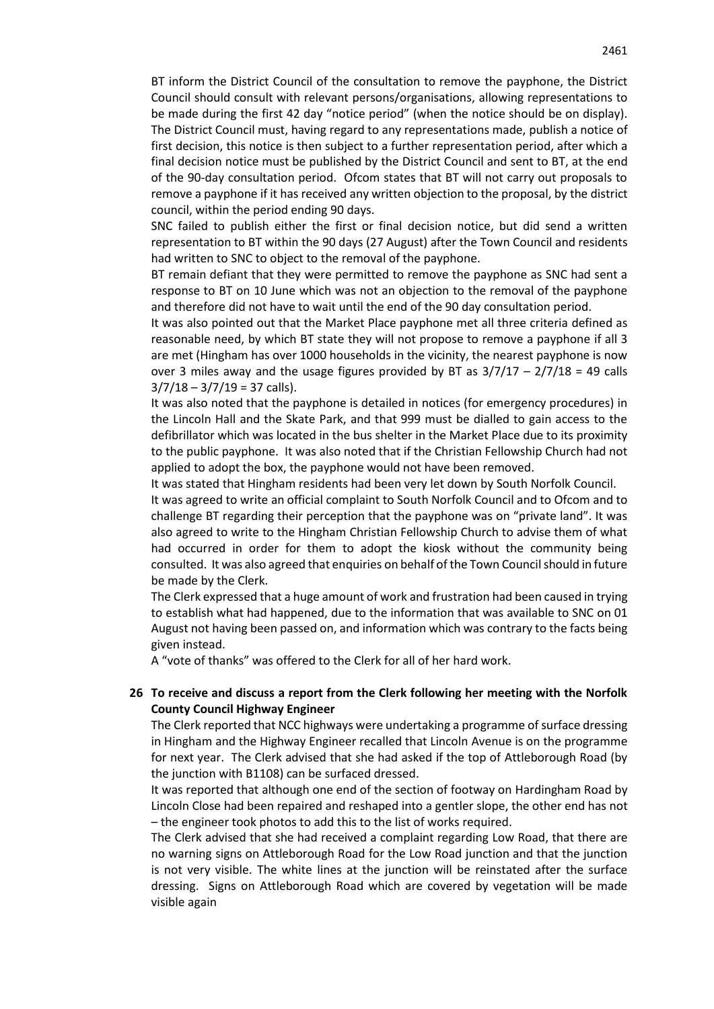BT inform the District Council of the consultation to remove the payphone, the District Council should consult with relevant persons/organisations, allowing representations to be made during the first 42 day "notice period" (when the notice should be on display). The District Council must, having regard to any representations made, publish a notice of first decision, this notice is then subject to a further representation period, after which a final decision notice must be published by the District Council and sent to BT, at the end of the 90-day consultation period. Ofcom states that BT will not carry out proposals to remove a payphone if it has received any written objection to the proposal, by the district council, within the period ending 90 days.

SNC failed to publish either the first or final decision notice, but did send a written representation to BT within the 90 days (27 August) after the Town Council and residents had written to SNC to object to the removal of the payphone.

BT remain defiant that they were permitted to remove the payphone as SNC had sent a response to BT on 10 June which was not an objection to the removal of the payphone and therefore did not have to wait until the end of the 90 day consultation period.

It was also pointed out that the Market Place payphone met all three criteria defined as reasonable need, by which BT state they will not propose to remove a payphone if all 3 are met (Hingham has over 1000 households in the vicinity, the nearest payphone is now over 3 miles away and the usage figures provided by BT as  $3/7/17 - 2/7/18 = 49$  calls  $3/7/18 - 3/7/19 = 37$  calls).

It was also noted that the payphone is detailed in notices (for emergency procedures) in the Lincoln Hall and the Skate Park, and that 999 must be dialled to gain access to the defibrillator which was located in the bus shelter in the Market Place due to its proximity to the public payphone. It was also noted that if the Christian Fellowship Church had not applied to adopt the box, the payphone would not have been removed.

It was stated that Hingham residents had been very let down by South Norfolk Council.

It was agreed to write an official complaint to South Norfolk Council and to Ofcom and to challenge BT regarding their perception that the payphone was on "private land". It was also agreed to write to the Hingham Christian Fellowship Church to advise them of what had occurred in order for them to adopt the kiosk without the community being consulted. It was also agreed that enquiries on behalf of the Town Council should in future be made by the Clerk.

The Clerk expressed that a huge amount of work and frustration had been caused in trying to establish what had happened, due to the information that was available to SNC on 01 August not having been passed on, and information which was contrary to the facts being given instead.

A "vote of thanks" was offered to the Clerk for all of her hard work.

# **26 To receive and discuss a report from the Clerk following her meeting with the Norfolk County Council Highway Engineer**

The Clerk reported that NCC highways were undertaking a programme of surface dressing in Hingham and the Highway Engineer recalled that Lincoln Avenue is on the programme for next year. The Clerk advised that she had asked if the top of Attleborough Road (by the junction with B1108) can be surfaced dressed.

It was reported that although one end of the section of footway on Hardingham Road by Lincoln Close had been repaired and reshaped into a gentler slope, the other end has not – the engineer took photos to add this to the list of works required.

The Clerk advised that she had received a complaint regarding Low Road, that there are no warning signs on Attleborough Road for the Low Road junction and that the junction is not very visible. The white lines at the junction will be reinstated after the surface dressing. Signs on Attleborough Road which are covered by vegetation will be made visible again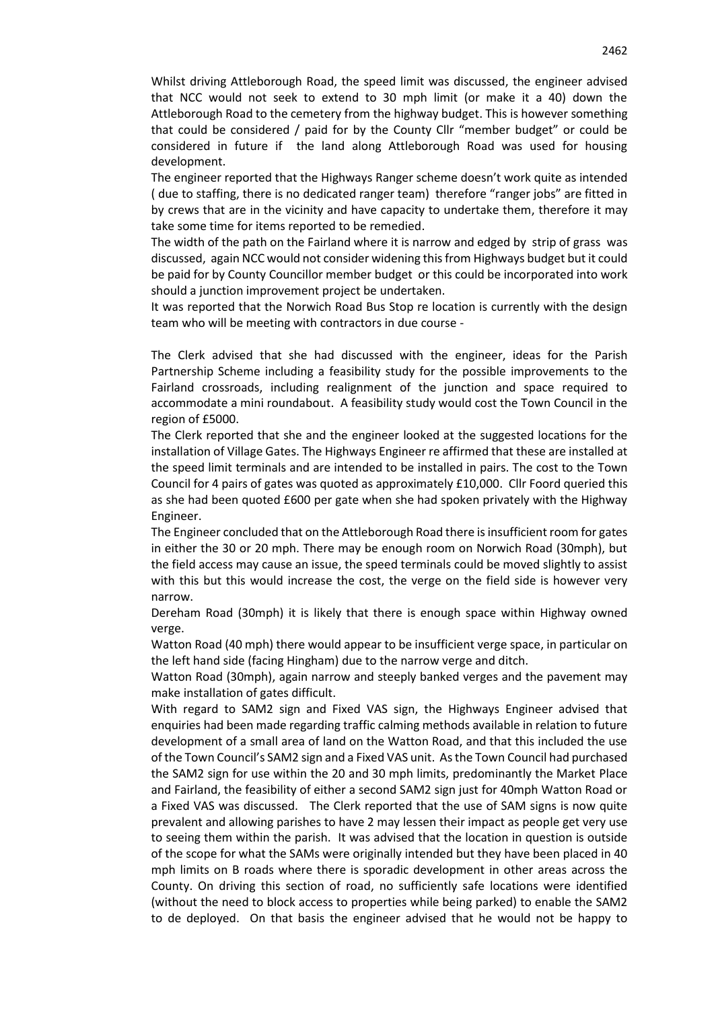Whilst driving Attleborough Road, the speed limit was discussed, the engineer advised that NCC would not seek to extend to 30 mph limit (or make it a 40) down the Attleborough Road to the cemetery from the highway budget. This is however something that could be considered / paid for by the County Cllr "member budget" or could be considered in future if the land along Attleborough Road was used for housing development.

The engineer reported that the Highways Ranger scheme doesn't work quite as intended ( due to staffing, there is no dedicated ranger team) therefore "ranger jobs" are fitted in by crews that are in the vicinity and have capacity to undertake them, therefore it may take some time for items reported to be remedied.

The width of the path on the Fairland where it is narrow and edged by strip of grass was discussed, again NCC would not consider widening this from Highways budget but it could be paid for by County Councillor member budget or this could be incorporated into work should a junction improvement project be undertaken.

It was reported that the Norwich Road Bus Stop re location is currently with the design team who will be meeting with contractors in due course -

The Clerk advised that she had discussed with the engineer, ideas for the Parish Partnership Scheme including a feasibility study for the possible improvements to the Fairland crossroads, including realignment of the junction and space required to accommodate a mini roundabout. A feasibility study would cost the Town Council in the region of £5000.

The Clerk reported that she and the engineer looked at the suggested locations for the installation of Village Gates. The Highways Engineer re affirmed that these are installed at the speed limit terminals and are intended to be installed in pairs. The cost to the Town Council for 4 pairs of gates was quoted as approximately £10,000. Cllr Foord queried this as she had been quoted £600 per gate when she had spoken privately with the Highway Engineer.

The Engineer concluded that on the Attleborough Road there is insufficient room for gates in either the 30 or 20 mph. There may be enough room on Norwich Road (30mph), but the field access may cause an issue, the speed terminals could be moved slightly to assist with this but this would increase the cost, the verge on the field side is however very narrow.

Dereham Road (30mph) it is likely that there is enough space within Highway owned verge.

Watton Road (40 mph) there would appear to be insufficient verge space, in particular on the left hand side (facing Hingham) due to the narrow verge and ditch.

Watton Road (30mph), again narrow and steeply banked verges and the pavement may make installation of gates difficult.

With regard to SAM2 sign and Fixed VAS sign, the Highways Engineer advised that enquiries had been made regarding traffic calming methods available in relation to future development of a small area of land on the Watton Road, and that this included the use of the Town Council's SAM2 sign and a Fixed VAS unit. As the Town Council had purchased the SAM2 sign for use within the 20 and 30 mph limits, predominantly the Market Place and Fairland, the feasibility of either a second SAM2 sign just for 40mph Watton Road or a Fixed VAS was discussed. The Clerk reported that the use of SAM signs is now quite prevalent and allowing parishes to have 2 may lessen their impact as people get very use to seeing them within the parish. It was advised that the location in question is outside of the scope for what the SAMs were originally intended but they have been placed in 40 mph limits on B roads where there is sporadic development in other areas across the County. On driving this section of road, no sufficiently safe locations were identified (without the need to block access to properties while being parked) to enable the SAM2 to de deployed. On that basis the engineer advised that he would not be happy to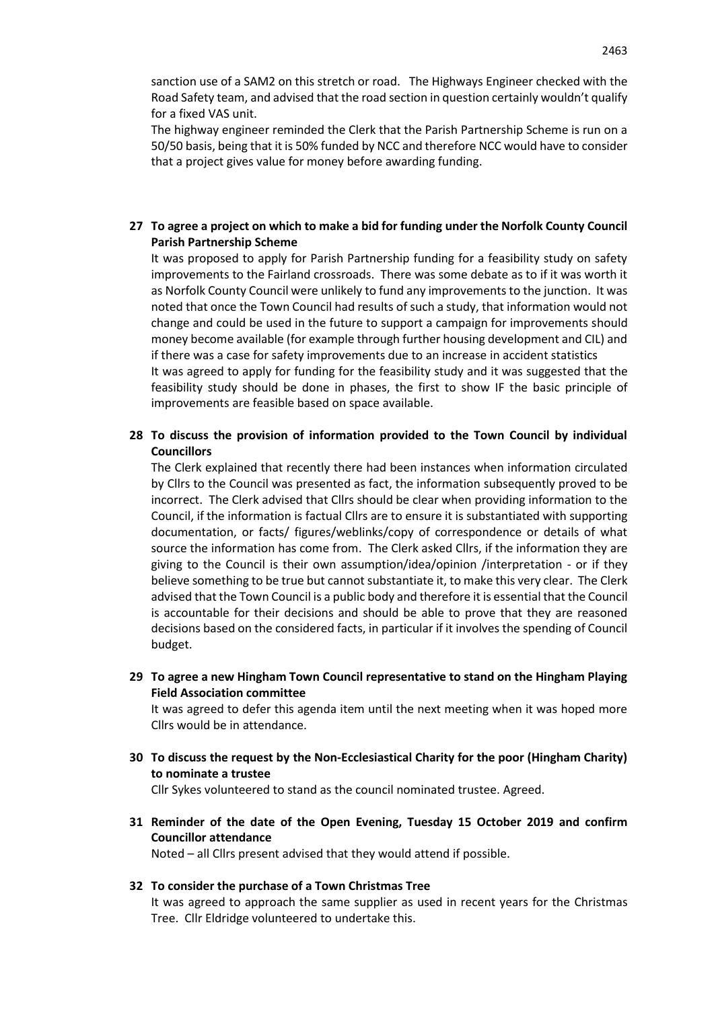sanction use of a SAM2 on this stretch or road. The Highways Engineer checked with the Road Safety team, and advised that the road section in question certainly wouldn't qualify for a fixed VAS unit.

The highway engineer reminded the Clerk that the Parish Partnership Scheme is run on a 50/50 basis, being that it is 50% funded by NCC and therefore NCC would have to consider that a project gives value for money before awarding funding.

# **27 To agree a project on which to make a bid for funding under the Norfolk County Council Parish Partnership Scheme**

It was proposed to apply for Parish Partnership funding for a feasibility study on safety improvements to the Fairland crossroads. There was some debate as to if it was worth it as Norfolk County Council were unlikely to fund any improvements to the junction. It was noted that once the Town Council had results of such a study, that information would not change and could be used in the future to support a campaign for improvements should money become available (for example through further housing development and CIL) and if there was a case for safety improvements due to an increase in accident statistics

It was agreed to apply for funding for the feasibility study and it was suggested that the feasibility study should be done in phases, the first to show IF the basic principle of improvements are feasible based on space available.

# **28 To discuss the provision of information provided to the Town Council by individual Councillors**

The Clerk explained that recently there had been instances when information circulated by Cllrs to the Council was presented as fact, the information subsequently proved to be incorrect. The Clerk advised that Cllrs should be clear when providing information to the Council, if the information is factual Cllrs are to ensure it is substantiated with supporting documentation, or facts/ figures/weblinks/copy of correspondence or details of what source the information has come from. The Clerk asked Cllrs, if the information they are giving to the Council is their own assumption/idea/opinion /interpretation - or if they believe something to be true but cannot substantiate it, to make this very clear. The Clerk advised that the Town Council is a public body and therefore it is essential that the Council is accountable for their decisions and should be able to prove that they are reasoned decisions based on the considered facts, in particular if it involves the spending of Council budget.

**29 To agree a new Hingham Town Council representative to stand on the Hingham Playing Field Association committee**

It was agreed to defer this agenda item until the next meeting when it was hoped more Cllrs would be in attendance.

**30 To discuss the request by the Non-Ecclesiastical Charity for the poor (Hingham Charity) to nominate a trustee**

Cllr Sykes volunteered to stand as the council nominated trustee. Agreed.

**31 Reminder of the date of the Open Evening, Tuesday 15 October 2019 and confirm Councillor attendance**

Noted – all Cllrs present advised that they would attend if possible.

# **32 To consider the purchase of a Town Christmas Tree**

It was agreed to approach the same supplier as used in recent years for the Christmas Tree. Cllr Eldridge volunteered to undertake this.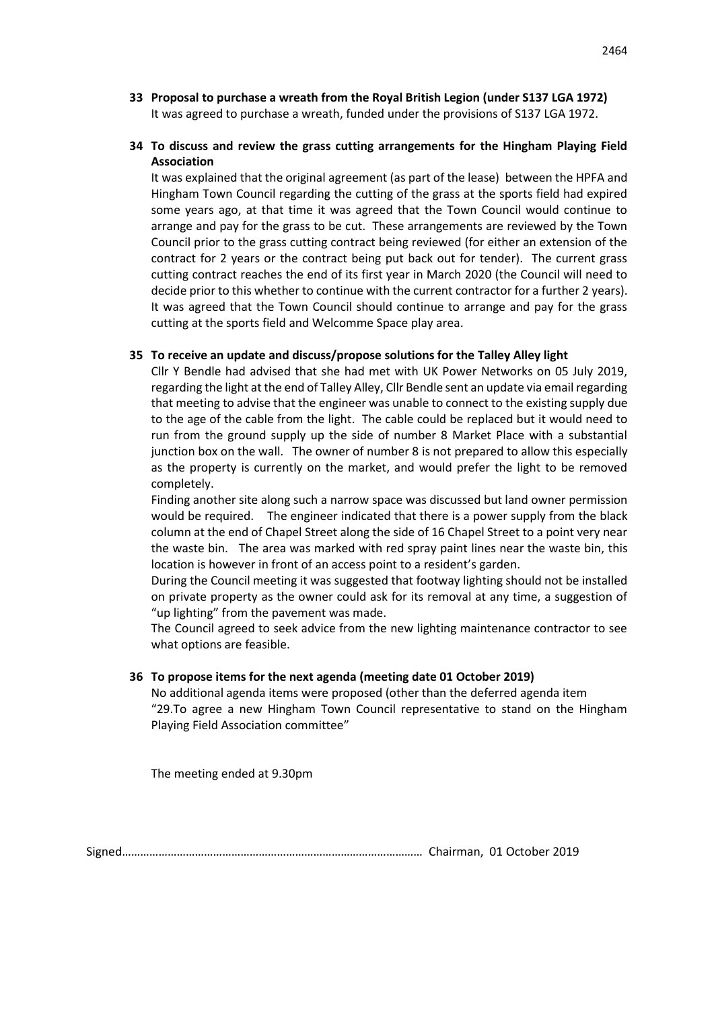**33 Proposal to purchase a wreath from the Royal British Legion (under S137 LGA 1972)** It was agreed to purchase a wreath, funded under the provisions of S137 LGA 1972.

# **34 To discuss and review the grass cutting arrangements for the Hingham Playing Field Association**

It was explained that the original agreement (as part of the lease) between the HPFA and Hingham Town Council regarding the cutting of the grass at the sports field had expired some years ago, at that time it was agreed that the Town Council would continue to arrange and pay for the grass to be cut. These arrangements are reviewed by the Town Council prior to the grass cutting contract being reviewed (for either an extension of the contract for 2 years or the contract being put back out for tender). The current grass cutting contract reaches the end of its first year in March 2020 (the Council will need to decide prior to this whether to continue with the current contractor for a further 2 years). It was agreed that the Town Council should continue to arrange and pay for the grass cutting at the sports field and Welcomme Space play area.

# **35 To receive an update and discuss/propose solutions for the Talley Alley light**

Cllr Y Bendle had advised that she had met with UK Power Networks on 05 July 2019, regarding the light at the end of Talley Alley, Cllr Bendle sent an update via email regarding that meeting to advise that the engineer was unable to connect to the existing supply due to the age of the cable from the light. The cable could be replaced but it would need to run from the ground supply up the side of number 8 Market Place with a substantial junction box on the wall. The owner of number 8 is not prepared to allow this especially as the property is currently on the market, and would prefer the light to be removed completely.

Finding another site along such a narrow space was discussed but land owner permission would be required. The engineer indicated that there is a power supply from the black column at the end of Chapel Street along the side of 16 Chapel Street to a point very near the waste bin. The area was marked with red spray paint lines near the waste bin, this location is however in front of an access point to a resident's garden.

During the Council meeting it was suggested that footway lighting should not be installed on private property as the owner could ask for its removal at any time, a suggestion of "up lighting" from the pavement was made.

The Council agreed to seek advice from the new lighting maintenance contractor to see what options are feasible.

# **36 To propose items for the next agenda (meeting date 01 October 2019)**

No additional agenda items were proposed (other than the deferred agenda item "29.To agree a new Hingham Town Council representative to stand on the Hingham Playing Field Association committee"

The meeting ended at 9.30pm

Signed……………………………………………………………………………………… Chairman, 01 October 2019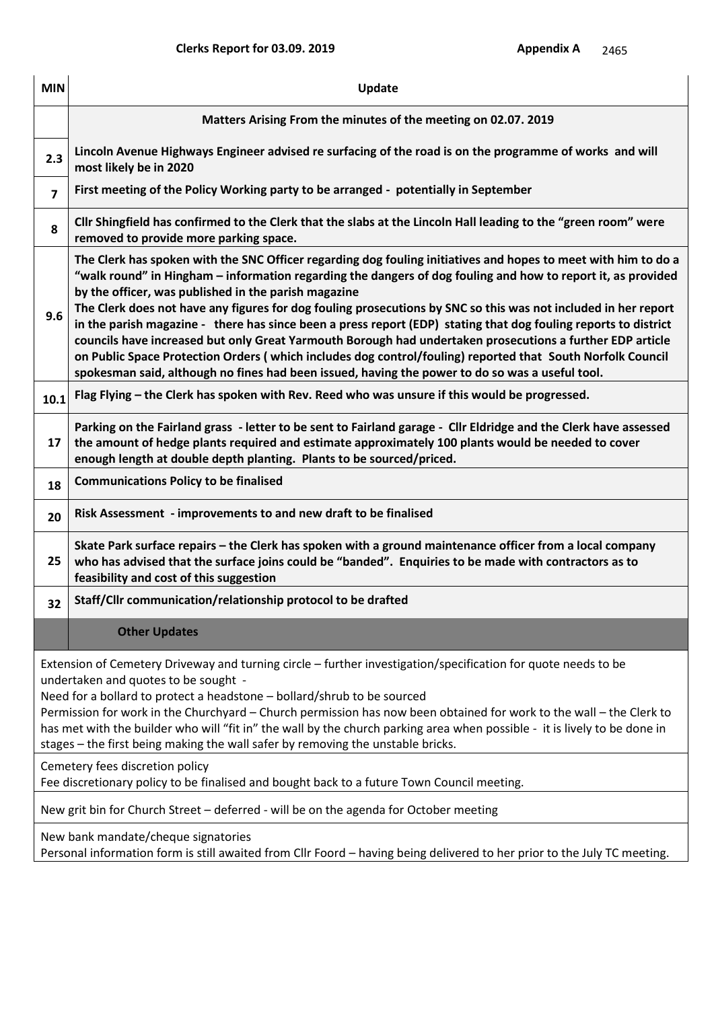| <b>MIN</b> | Update                                                                                                                                                                                                                                                                                                                                                                                                                                                                                                                                                                                                                                                                                                                                                                                                                                                    |
|------------|-----------------------------------------------------------------------------------------------------------------------------------------------------------------------------------------------------------------------------------------------------------------------------------------------------------------------------------------------------------------------------------------------------------------------------------------------------------------------------------------------------------------------------------------------------------------------------------------------------------------------------------------------------------------------------------------------------------------------------------------------------------------------------------------------------------------------------------------------------------|
|            | Matters Arising From the minutes of the meeting on 02.07. 2019                                                                                                                                                                                                                                                                                                                                                                                                                                                                                                                                                                                                                                                                                                                                                                                            |
| 2.3        | Lincoln Avenue Highways Engineer advised re surfacing of the road is on the programme of works and will<br>most likely be in 2020                                                                                                                                                                                                                                                                                                                                                                                                                                                                                                                                                                                                                                                                                                                         |
| 7          | First meeting of the Policy Working party to be arranged - potentially in September                                                                                                                                                                                                                                                                                                                                                                                                                                                                                                                                                                                                                                                                                                                                                                       |
| 8          | Cllr Shingfield has confirmed to the Clerk that the slabs at the Lincoln Hall leading to the "green room" were<br>removed to provide more parking space.                                                                                                                                                                                                                                                                                                                                                                                                                                                                                                                                                                                                                                                                                                  |
| 9.6        | The Clerk has spoken with the SNC Officer regarding dog fouling initiatives and hopes to meet with him to do a<br>"walk round" in Hingham – information regarding the dangers of dog fouling and how to report it, as provided<br>by the officer, was published in the parish magazine<br>The Clerk does not have any figures for dog fouling prosecutions by SNC so this was not included in her report<br>in the parish magazine - there has since been a press report (EDP) stating that dog fouling reports to district<br>councils have increased but only Great Yarmouth Borough had undertaken prosecutions a further EDP article<br>on Public Space Protection Orders (which includes dog control/fouling) reported that South Norfolk Council<br>spokesman said, although no fines had been issued, having the power to do so was a useful tool. |
| 10.1       | Flag Flying – the Clerk has spoken with Rev. Reed who was unsure if this would be progressed.                                                                                                                                                                                                                                                                                                                                                                                                                                                                                                                                                                                                                                                                                                                                                             |
| 17         | Parking on the Fairland grass - letter to be sent to Fairland garage - Cllr Eldridge and the Clerk have assessed<br>the amount of hedge plants required and estimate approximately 100 plants would be needed to cover<br>enough length at double depth planting. Plants to be sourced/priced.                                                                                                                                                                                                                                                                                                                                                                                                                                                                                                                                                            |
| 18         | <b>Communications Policy to be finalised</b>                                                                                                                                                                                                                                                                                                                                                                                                                                                                                                                                                                                                                                                                                                                                                                                                              |
| 20         | Risk Assessment - improvements to and new draft to be finalised                                                                                                                                                                                                                                                                                                                                                                                                                                                                                                                                                                                                                                                                                                                                                                                           |
| 25         | Skate Park surface repairs - the Clerk has spoken with a ground maintenance officer from a local company<br>who has advised that the surface joins could be "banded". Enquiries to be made with contractors as to<br>feasibility and cost of this suggestion                                                                                                                                                                                                                                                                                                                                                                                                                                                                                                                                                                                              |
| 32         | Staff/Cllr communication/relationship protocol to be drafted                                                                                                                                                                                                                                                                                                                                                                                                                                                                                                                                                                                                                                                                                                                                                                                              |
|            | <b>Other Updates</b>                                                                                                                                                                                                                                                                                                                                                                                                                                                                                                                                                                                                                                                                                                                                                                                                                                      |
|            | Extension of Cemetery Driveway and turning circle – further investigation/specification for quote needs to be<br>undertaken and quotes to be sought -<br>Need for a bollard to protect a headstone - bollard/shrub to be sourced<br>Permission for work in the Churchyard - Church permission has now been obtained for work to the wall - the Clerk to<br>has met with the builder who will "fit in" the wall by the church parking area when possible - it is lively to be done in<br>stages - the first being making the wall safer by removing the unstable bricks.                                                                                                                                                                                                                                                                                   |
|            | Cemetery fees discretion policy<br>Fee discretionary policy to be finalised and bought back to a future Town Council meeting.                                                                                                                                                                                                                                                                                                                                                                                                                                                                                                                                                                                                                                                                                                                             |
|            | New grit bin for Church Street - deferred - will be on the agenda for October meeting                                                                                                                                                                                                                                                                                                                                                                                                                                                                                                                                                                                                                                                                                                                                                                     |
|            | New bank mandate/cheque signatories<br>Personal information form is still awaited from Cllr Foord - having being delivered to her prior to the July TC meeting.                                                                                                                                                                                                                                                                                                                                                                                                                                                                                                                                                                                                                                                                                           |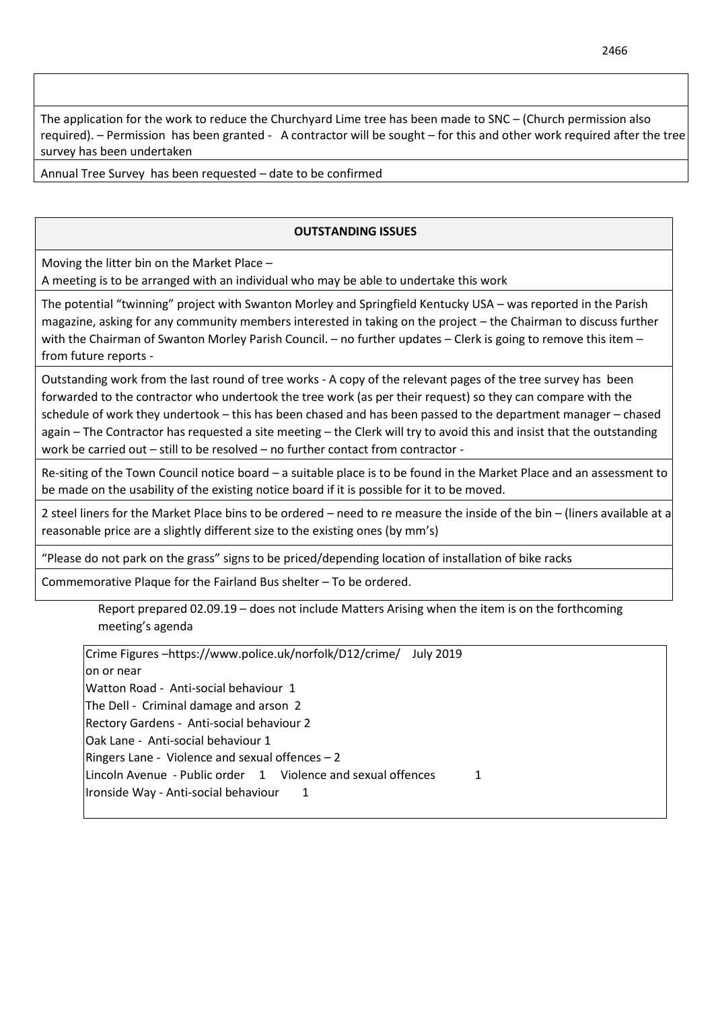The application for the work to reduce the Churchyard Lime tree has been made to SNC – (Church permission also required). – Permission has been granted - A contractor will be sought – for this and other work required after the tree survey has been undertaken

Annual Tree Survey has been requested – date to be confirmed

# **OUTSTANDING ISSUES**

Moving the litter bin on the Market Place –

A meeting is to be arranged with an individual who may be able to undertake this work

The potential "twinning" project with Swanton Morley and Springfield Kentucky USA – was reported in the Parish magazine, asking for any community members interested in taking on the project – the Chairman to discuss further with the Chairman of Swanton Morley Parish Council. – no further updates – Clerk is going to remove this item – from future reports -

Outstanding work from the last round of tree works - A copy of the relevant pages of the tree survey has been forwarded to the contractor who undertook the tree work (as per their request) so they can compare with the schedule of work they undertook – this has been chased and has been passed to the department manager – chased again – The Contractor has requested a site meeting – the Clerk will try to avoid this and insist that the outstanding work be carried out – still to be resolved – no further contact from contractor -

Re-siting of the Town Council notice board – a suitable place is to be found in the Market Place and an assessment to be made on the usability of the existing notice board if it is possible for it to be moved.

2 steel liners for the Market Place bins to be ordered – need to re measure the inside of the bin – (liners available at a reasonable price are a slightly different size to the existing ones (by mm's)

"Please do not park on the grass" signs to be priced/depending location of installation of bike racks

Commemorative Plaque for the Fairland Bus shelter – To be ordered.

Report prepared 02.09.19 – does not include Matters Arising when the item is on the forthcoming meeting's agenda

Crime Figures –https://www.police.uk/norfolk/D12/crime/ July 2019 on or near Watton Road - Anti-social behaviour 1 The Dell - Criminal damage and arson 2 Rectory Gardens - Anti-social behaviour 2 Oak Lane - Anti-social behaviour 1 Ringers Lane - Violence and sexual offences – 2 Lincoln Avenue - Public order 1 Violence and sexual offences 1 Ironside Way - Anti-social behaviour 1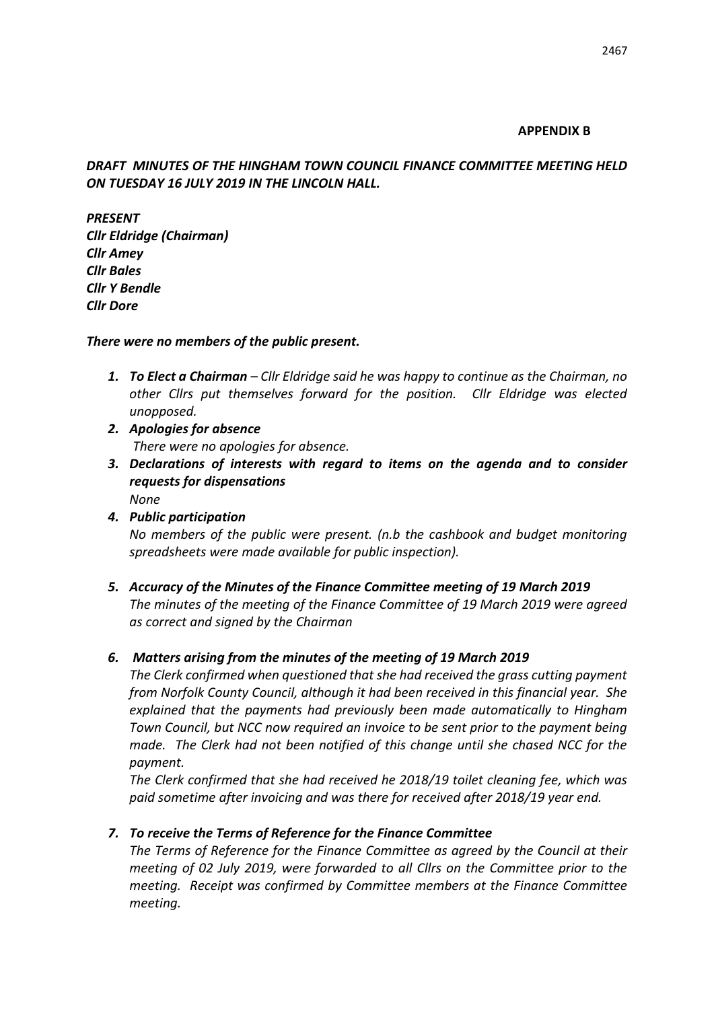# **APPENDIX B**

# *DRAFT MINUTES OF THE HINGHAM TOWN COUNCIL FINANCE COMMITTEE MEETING HELD ON TUESDAY 16 JULY 2019 IN THE LINCOLN HALL.*

*PRESENT Cllr Eldridge (Chairman) Cllr Amey Cllr Bales Cllr Y Bendle Cllr Dore*

# *There were no members of the public present.*

- *1. To Elect a Chairman – Cllr Eldridge said he was happy to continue as the Chairman, no other Cllrs put themselves forward for the position. Cllr Eldridge was elected unopposed.*
- *2. Apologies for absence There were no apologies for absence.*
- *3. Declarations of interests with regard to items on the agenda and to consider requests for dispensations None*
- *4. Public participation No members of the public were present. (n.b the cashbook and budget monitoring spreadsheets were made available for public inspection).*
- *5. Accuracy of the Minutes of the Finance Committee meeting of 19 March 2019 The minutes of the meeting of the Finance Committee of 19 March 2019 were agreed as correct and signed by the Chairman*

# *6. Matters arising from the minutes of the meeting of 19 March 2019*

*The Clerk confirmed when questioned that she had received the grass cutting payment from Norfolk County Council, although it had been received in this financial year. She explained that the payments had previously been made automatically to Hingham Town Council, but NCC now required an invoice to be sent prior to the payment being made. The Clerk had not been notified of this change until she chased NCC for the payment.*

*The Clerk confirmed that she had received he 2018/19 toilet cleaning fee, which was paid sometime after invoicing and was there for received after 2018/19 year end.* 

# *7. To receive the Terms of Reference for the Finance Committee*

*The Terms of Reference for the Finance Committee as agreed by the Council at their meeting of 02 July 2019, were forwarded to all Cllrs on the Committee prior to the meeting. Receipt was confirmed by Committee members at the Finance Committee meeting.*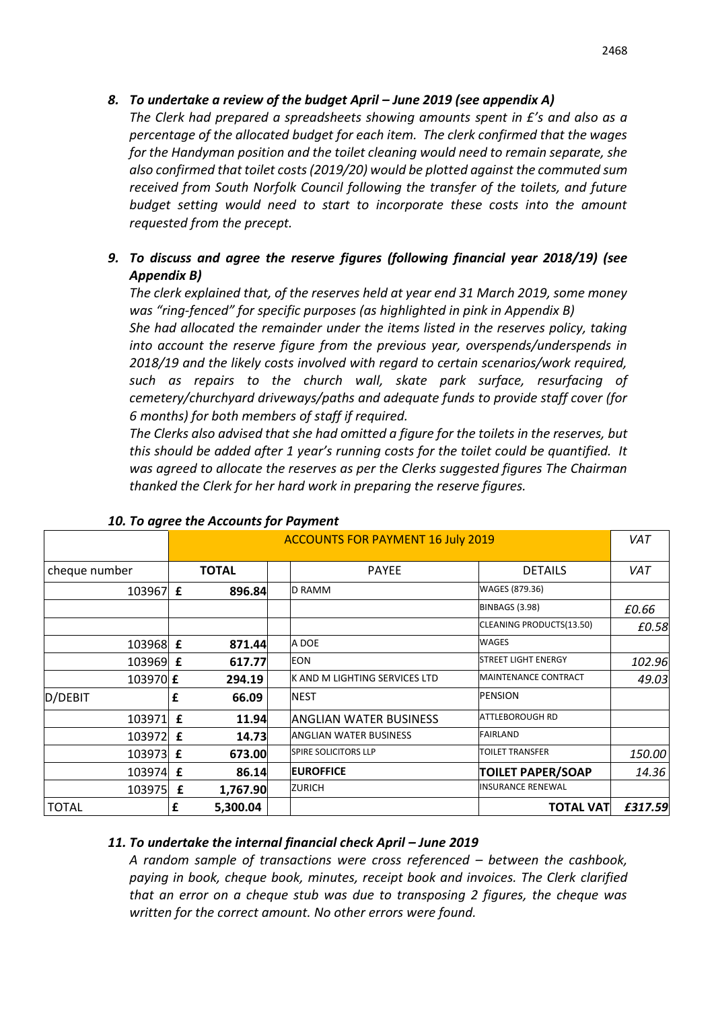*The Clerk had prepared a spreadsheets showing amounts spent in £'s and also as a percentage of the allocated budget for each item. The clerk confirmed that the wages for the Handyman position and the toilet cleaning would need to remain separate, she also confirmed that toilet costs (2019/20) would be plotted against the commuted sum received from South Norfolk Council following the transfer of the toilets, and future budget setting would need to start to incorporate these costs into the amount requested from the precept.* 

# *9. To discuss and agree the reserve figures (following financial year 2018/19) (see Appendix B)*

*The clerk explained that, of the reserves held at year end 31 March 2019, some money was "ring-fenced" for specific purposes (as highlighted in pink in Appendix B)* 

*She had allocated the remainder under the items listed in the reserves policy, taking into account the reserve figure from the previous year, overspends/underspends in 2018/19 and the likely costs involved with regard to certain scenarios/work required, such as repairs to the church wall, skate park surface, resurfacing of cemetery/churchyard driveways/paths and adequate funds to provide staff cover (for 6 months) for both members of staff if required.*

*The Clerks also advised that she had omitted a figure for the toilets in the reserves, but this should be added after 1 year's running costs for the toilet could be quantified. It was agreed to allocate the reserves as per the Clerks suggested figures The Chairman thanked the Clerk for her hard work in preparing the reserve figures.*

|                 |              | <b>10. To agree the Accounts for Fayment</b> |  |                               |                             |         |
|-----------------|--------------|----------------------------------------------|--|-------------------------------|-----------------------------|---------|
|                 |              | <b>ACCOUNTS FOR PAYMENT 16 July 2019</b>     |  |                               | VAT                         |         |
| cheque number   | <b>TOTAL</b> |                                              |  | <b>PAYEE</b>                  | <b>DETAILS</b>              | VAT     |
| 103967 £        |              | 896.84                                       |  | <b>D RAMM</b>                 | WAGES (879.36)              |         |
|                 |              |                                              |  |                               | <b>BINBAGS (3.98)</b>       | £0.66   |
|                 |              |                                              |  |                               | CLEANING PRODUCTS(13.50)    | £0.58   |
| 103968 £        |              | 871.44                                       |  | A DOE                         | <b>WAGES</b>                |         |
| 103969 £        |              | 617.77                                       |  | <b>EON</b>                    | <b>STREET LIGHT ENERGY</b>  | 102.96  |
| 103970 £        |              | 294.19                                       |  | K AND M LIGHTING SERVICES LTD | <b>MAINTENANCE CONTRACT</b> | 49.03   |
| D/DEBIT         | £            | 66.09                                        |  | <b>NEST</b>                   | <b>PENSION</b>              |         |
| 103971          | £            | 11.94                                        |  | ANGLIAN WATER BUSINESS        | <b>ATTLEBOROUGH RD</b>      |         |
| 103972 <b>£</b> |              | 14.73                                        |  | <b>ANGLIAN WATER BUSINESS</b> | <b>FAIRLAND</b>             |         |
| 103973 £        |              | 673.00                                       |  | <b>SPIRE SOLICITORS LLP</b>   | <b>TOILET TRANSFER</b>      | 150.00  |
| 103974 £        |              | 86.14                                        |  | <b>EUROFFICE</b>              | <b>TOILET PAPER/SOAP</b>    | 14.36   |
| 103975          | £            | 1,767.90                                     |  | <b>ZURICH</b>                 | <b>INSURANCE RENEWAL</b>    |         |
| <b>TOTAL</b>    | £            | 5,300.04                                     |  |                               | <b>TOTAL VAT</b>            | £317.59 |

# *10. To agree the Accounts for Payment*

# *11. To undertake the internal financial check April – June 2019*

*A random sample of transactions were cross referenced – between the cashbook, paying in book, cheque book, minutes, receipt book and invoices. The Clerk clarified that an error on a cheque stub was due to transposing 2 figures, the cheque was written for the correct amount. No other errors were found.*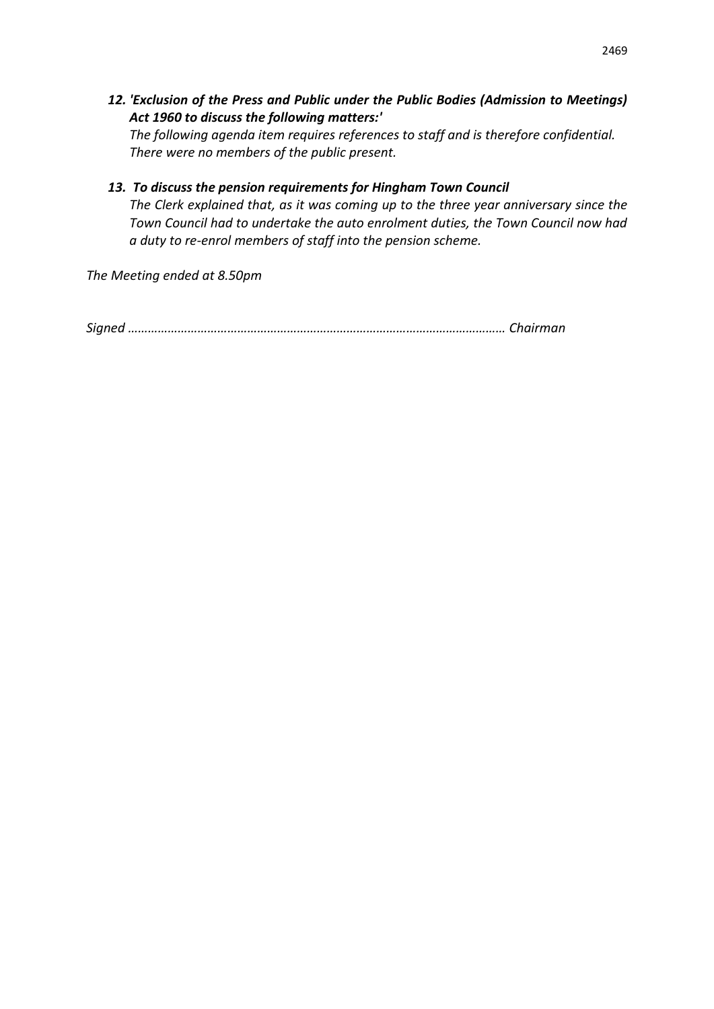*12. 'Exclusion of the Press and Public under the Public Bodies (Admission to Meetings) Act 1960 to discuss the following matters:'*

*The following agenda item requires references to staff and is therefore confidential. There were no members of the public present.*

*13. To discuss the pension requirements for Hingham Town Council The Clerk explained that, as it was coming up to the three year anniversary since the Town Council had to undertake the auto enrolment duties, the Town Council now had a duty to re-enrol members of staff into the pension scheme.*

*The Meeting ended at 8.50pm*

*Signed …………………………………………………………………………………………………… Chairman*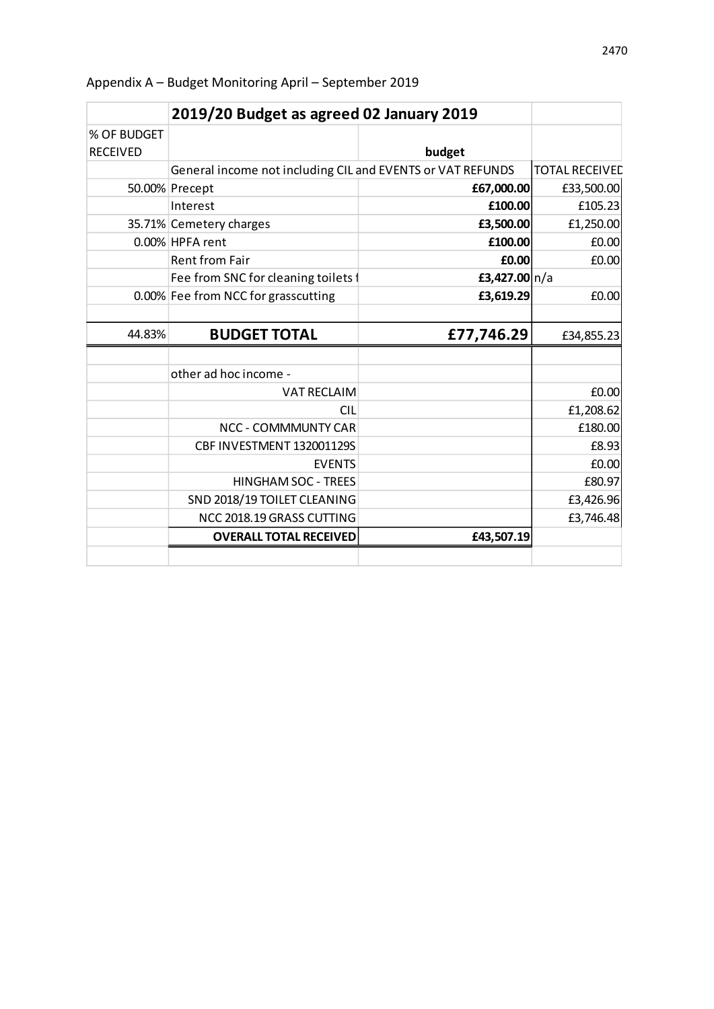|                                | 2019/20 Budget as agreed 02 January 2019                   |                 |                       |
|--------------------------------|------------------------------------------------------------|-----------------|-----------------------|
| % OF BUDGET<br><b>RECEIVED</b> |                                                            | budget          |                       |
|                                | General income not including CIL and EVENTS or VAT REFUNDS |                 | <b>TOTAL RECEIVED</b> |
|                                | 50.00% Precept                                             | £67,000.00      | £33,500.00            |
|                                | Interest                                                   | £100.00         | £105.23               |
|                                | 35.71% Cemetery charges                                    | £3,500.00       | £1,250.00             |
|                                | 0.00% HPFA rent                                            | £100.00         | £0.00                 |
|                                | <b>Rent from Fair</b>                                      | £0.00           | £0.00                 |
|                                | Fee from SNC for cleaning toilets f                        | £3,427.00 $n/a$ |                       |
|                                | 0.00% Fee from NCC for grasscutting                        | £3,619.29       | £0.00                 |
|                                |                                                            |                 |                       |
| 44.83%                         | <b>BUDGET TOTAL</b>                                        | £77,746.29      | £34,855.23            |
|                                |                                                            |                 |                       |
|                                |                                                            |                 |                       |
|                                | other ad hoc income -                                      |                 |                       |
|                                | <b>VAT RECLAIM</b>                                         |                 | £0.00                 |
|                                | <b>CIL</b>                                                 |                 | £1,208.62             |
|                                | <b>NCC - COMMMUNTY CAR</b>                                 |                 | £180.00               |
|                                | CBF INVESTMENT 132001129S                                  |                 | £8.93                 |
|                                | <b>EVENTS</b>                                              |                 | £0.00                 |
|                                | <b>HINGHAM SOC - TREES</b>                                 |                 | £80.97                |
|                                | SND 2018/19 TOILET CLEANING                                |                 | £3,426.96             |
|                                | NCC 2018.19 GRASS CUTTING                                  |                 | £3,746.48             |
|                                | <b>OVERALL TOTAL RECEIVED</b>                              | £43,507.19      |                       |

Appendix A – Budget Monitoring April – September 2019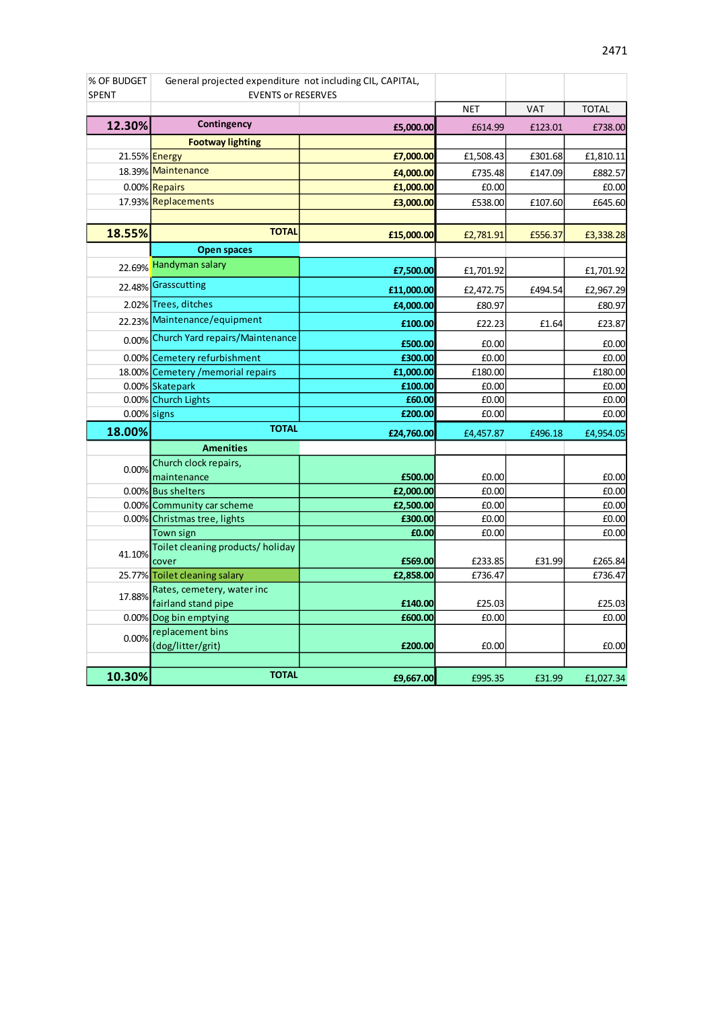| % OF BUDGET    | General projected expenditure not including CIL, CAPITAL, |            |            |            |              |
|----------------|-----------------------------------------------------------|------------|------------|------------|--------------|
| <b>SPENT</b>   | <b>EVENTS or RESERVES</b>                                 |            |            |            |              |
|                |                                                           |            | <b>NET</b> | <b>VAT</b> | <b>TOTAL</b> |
| 12.30%         | Contingency                                               | £5,000.00  | £614.99    | £123.01    | £738.00      |
|                | <b>Footway lighting</b>                                   |            |            |            |              |
|                | 21.55% <b>Energy</b>                                      | £7,000.00  | £1,508.43  | £301.68    | £1,810.11    |
|                | 18.39% Maintenance                                        | £4,000.00  | £735.48    | £147.09    | £882.57      |
|                | 0.00% Repairs                                             | £1,000.00  | £0.00      |            | £0.00        |
|                | 17.93% Replacements                                       | £3,000.00  | £538.00    | £107.60    | £645.60      |
|                |                                                           |            |            |            |              |
| 18.55%         | <b>TOTAL</b>                                              | £15,000.00 | £2,781.91  | £556.37    | £3,338.28    |
|                | <b>Open spaces</b>                                        |            |            |            |              |
|                | 22.69% Handyman salary                                    | £7,500.00  | £1,701.92  |            | £1,701.92    |
|                | 22.48% Grasscutting                                       | £11,000.00 | £2,472.75  | £494.54    | £2,967.29    |
|                | 2.02% Trees, ditches                                      | £4,000.00  | £80.97     |            | £80.97       |
|                | 22.23% Maintenance/equipment                              | £100.00    | £22.23     | £1.64      | £23.87       |
|                | 0.00% Church Yard repairs/Maintenance                     | £500.00    | £0.00      |            | £0.00        |
|                | 0.00% Cemetery refurbishment                              | £300.00    | £0.00      |            | £0.00        |
|                | 18.00% Cemetery / memorial repairs                        | £1,000.00  | £180.00    |            | £180.00      |
|                | 0.00% Skatepark                                           | £100.00    | £0.00      |            | £0.00        |
|                | 0.00% Church Lights                                       | £60.00     | £0.00      |            | £0.00        |
| $0.00\%$ signs |                                                           | £200.00    | £0.00      |            | £0.00        |
| 18.00%         | <b>TOTAL</b>                                              | £24,760.00 | £4,457.87  | £496.18    | £4,954.05    |
|                | <b>Amenities</b>                                          |            |            |            |              |
| 0.00%          | Church clock repairs,                                     |            |            |            |              |
|                | maintenance                                               | £500.00    | £0.00      |            | £0.00        |
|                | 0.00% Bus shelters                                        | £2,000.00  | £0.00      |            | £0.00        |
|                | 0.00% Community car scheme                                | £2,500.00  | £0.00      |            | £0.00        |
|                | 0.00% Christmas tree, lights                              | £300.00    | £0.00      |            | £0.00        |
|                | Town sign                                                 | £0.00      | £0.00      |            | £0.00        |
| 41.10%         | Toilet cleaning products/ holiday                         |            |            |            |              |
|                | cover                                                     | £569.00    | £233.85    | £31.99     | £265.84      |
|                | 25.77% Toilet cleaning salary                             | £2,858.00  | £736.47    |            | £736.47      |
| 17.88%         | Rates, cemetery, water inc<br>fairland stand pipe         | £140.00    | £25.03     |            | £25.03       |
|                | 0.00% Dog bin emptying                                    | £600.00    | £0.00      |            | £0.00        |
|                | replacement bins                                          |            |            |            |              |
| 0.00%          | (dog/litter/grit)                                         | £200.00    | £0.00      |            | £0.00        |
|                |                                                           |            |            |            |              |
| 10.30%         | <b>TOTAL</b>                                              | £9,667.00  | £995.35    | £31.99     | £1,027.34    |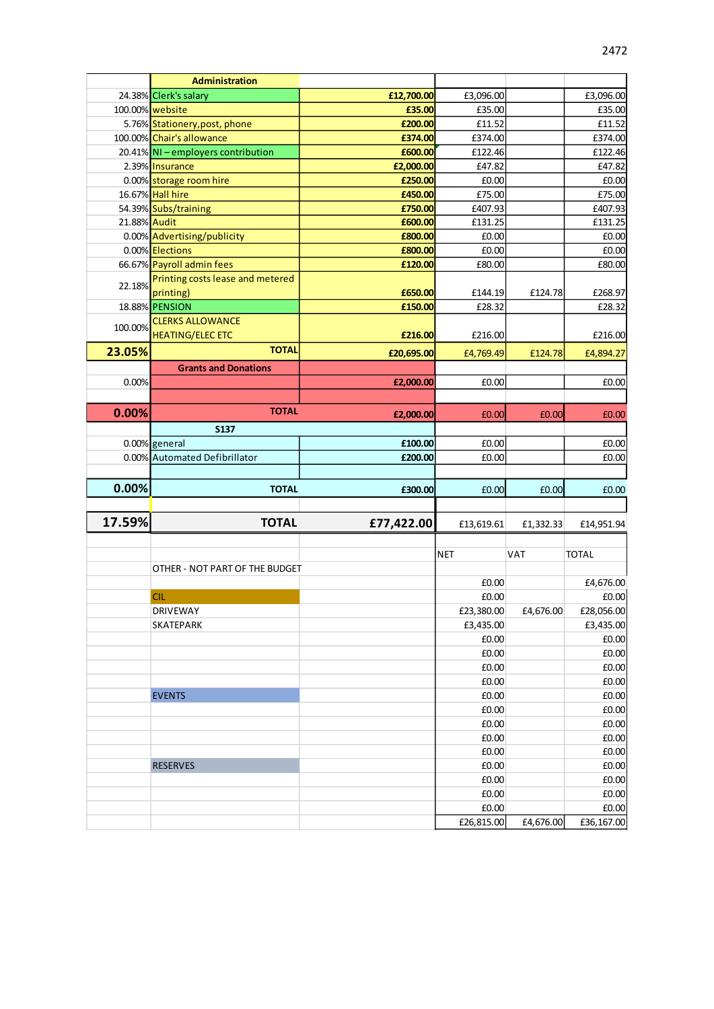|              | <b>Administration</b>              |            |                     |            |                                       |
|--------------|------------------------------------|------------|---------------------|------------|---------------------------------------|
|              | 24.38% Clerk's salary              | £12,700.00 | £3,096.00           |            | £3,096.00                             |
|              | 100.00% website                    | £35.00     | £35.00              |            | £35.00                                |
|              | 5.76% Stationery, post, phone      | £200.00    | £11.52              |            | £11.52                                |
|              | 100.00% Chair's allowance          | £374.00    | £374.00             |            | £374.00                               |
|              | 20.41% NI - employers contribution | £600.00    | £122.46             |            | £122.46                               |
|              | 2.39% Insurance                    | £2,000.00  | £47.82              |            | £47.82                                |
|              | 0.00% storage room hire            | £250.00    | £0.00               |            | £0.00                                 |
|              | 16.67% Hall hire                   | £450.00    | £75.00              |            | £75.00                                |
|              | 54.39% Subs/training               | £750.00    | £407.93             |            | £407.93                               |
| 21.88% Audit |                                    | £600.00    | £131.25             |            | £131.25                               |
|              | 0.00% Advertising/publicity        | £800.00    | £0.00               |            | £0.00                                 |
|              | 0.00% Elections                    | £800.00    | £0.00               |            | £0.00                                 |
|              | 66.67% Payroll admin fees          | £120.00    | £80.00              |            | £80.00                                |
| 22.18%       | Printing costs lease and metered   |            |                     |            |                                       |
|              | printing)                          | £650.00    | £144.19             | £124.78    | £268.97                               |
|              | 18.88% PENSION                     | £150.00    | £28.32              |            | £28.32                                |
| 100.00%      | <b>CLERKS ALLOWANCE</b>            |            |                     |            |                                       |
|              | <b>HEATING/ELEC ETC</b>            | £216.00    | £216.00             |            | £216.00                               |
| 23.05%       | <b>TOTAL</b>                       | £20,695.00 | £4,769.49           | £124.78    | £4,894.27                             |
|              | <b>Grants and Donations</b>        |            |                     |            |                                       |
| 0.00%        |                                    | £2,000.00  | £0.00               |            | £0.00                                 |
|              |                                    |            |                     |            |                                       |
| 0.00%        | <b>TOTAL</b>                       |            |                     |            |                                       |
|              |                                    | £2,000.00  | £0.00               | £0.00      | £0.00                                 |
|              | <b>S137</b>                        |            |                     |            |                                       |
|              | 0.00% general                      | £100.00    | £0.00               |            | £0.00                                 |
|              | 0.00% Automated Defibrillator      | £200.00    | £0.00               |            | £0.00                                 |
|              |                                    |            |                     |            |                                       |
|              |                                    |            |                     |            |                                       |
| 0.00%        | <b>TOTAL</b>                       | £300.00    | £0.00               | £0.00      | £0.00                                 |
|              |                                    |            |                     |            |                                       |
| 17.59%       | <b>TOTAL</b>                       | £77,422.00 | £13,619.61          | £1,332.33  |                                       |
|              |                                    |            |                     |            | £14,951.94                            |
|              |                                    |            | <b>NET</b>          | <b>VAT</b> | <b>TOTAL</b>                          |
|              | OTHER - NOT PART OF THE BUDGET     |            |                     |            |                                       |
|              |                                    |            | £0.00               |            | £4,676.00                             |
|              | <b>CIL</b>                         |            | £0.00               |            | £0.00                                 |
|              | DRIVEWAY                           |            | £23,380.00          | £4,676.00  | £28,056.00                            |
|              | <b>SKATEPARK</b>                   |            | £3,435.00           |            | £3,435.00                             |
|              |                                    |            | £0.00               |            | £0.00                                 |
|              |                                    |            | £0.00               |            | £0.00                                 |
|              |                                    |            | £0.00               |            | £0.00                                 |
|              |                                    |            | £0.00               |            | £0.00                                 |
|              | <b>EVENTS</b>                      |            | £0.00               |            | £0.00                                 |
|              |                                    |            | £0.00               |            | £0.00                                 |
|              |                                    |            | £0.00               |            |                                       |
|              |                                    |            | £0.00               |            |                                       |
|              |                                    |            | £0.00               |            | £0.00<br>£0.00<br>£0.00               |
|              | <b>RESERVES</b>                    |            | £0.00               |            | £0.00                                 |
|              |                                    |            | £0.00               |            |                                       |
|              |                                    |            | £0.00               |            |                                       |
|              |                                    |            | £0.00<br>£26,815.00 | £4,676.00  | £0.00<br>£0.00<br>£0.00<br>£36,167.00 |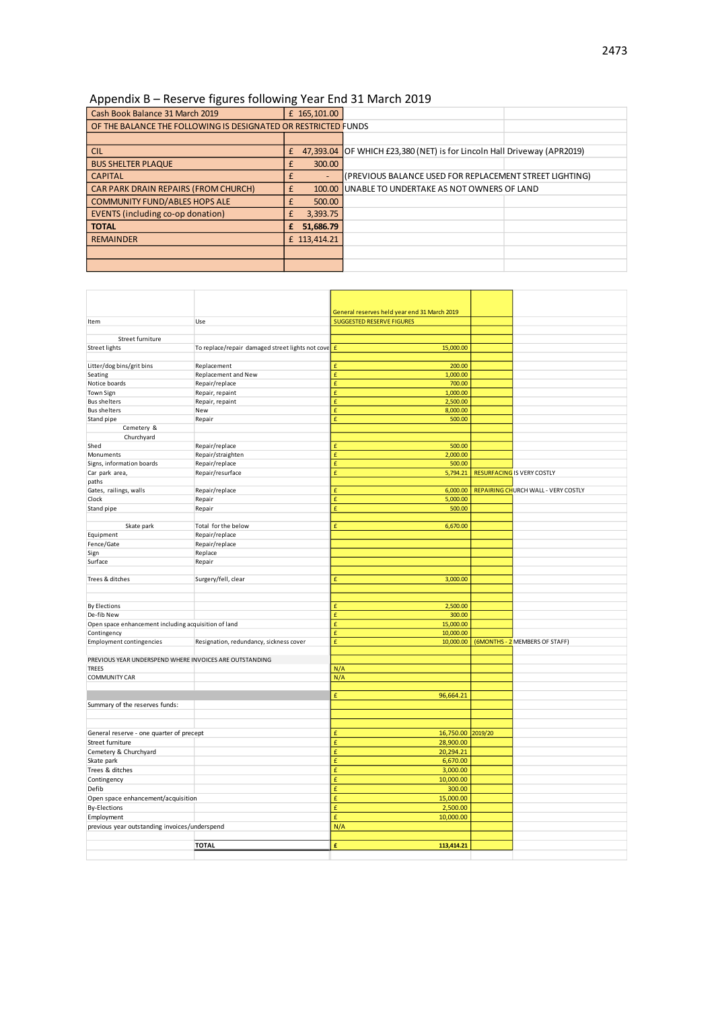### Appendix B – Reserve figures following Year End 31 March 2019

| . .                                                            |   |              |                                                                         |  |
|----------------------------------------------------------------|---|--------------|-------------------------------------------------------------------------|--|
| Cash Book Balance 31 March 2019                                |   | £ 165,101.00 |                                                                         |  |
| OF THE BALANCE THE FOLLOWING IS DESIGNATED OR RESTRICTED FUNDS |   |              |                                                                         |  |
|                                                                |   |              |                                                                         |  |
| <b>CIL</b>                                                     | £ |              | 47,393.04 OF WHICH £23,380 (NET) is for Lincoln Hall Driveway (APR2019) |  |
| <b>BUS SHELTER PLAQUE</b>                                      | £ | 300.00       |                                                                         |  |
| <b>CAPITAL</b>                                                 |   |              | (PREVIOUS BALANCE USED FOR REPLACEMENT STREET LIGHTING)                 |  |
| CAR PARK DRAIN REPAIRS (FROM CHURCH)                           |   | 100.00       | UNABLE TO UNDERTAKE AS NOT OWNERS OF LAND                               |  |
| <b>COMMUNITY FUND/ABLES HOPS ALE</b>                           | f | 500.00       |                                                                         |  |
| EVENTS (including co-op donation)                              | £ | 3,393.75     |                                                                         |  |
| <b>TOTAL</b>                                                   |   | 51,686.79    |                                                                         |  |
| <b>REMAINDER</b>                                               |   | £ 113,414.21 |                                                                         |  |
|                                                                |   |              |                                                                         |  |
|                                                                |   |              |                                                                         |  |
|                                                                |   |              |                                                                         |  |

|                                                         |                                                  | General reserves held year end 31 March 2019 |         |                                            |
|---------------------------------------------------------|--------------------------------------------------|----------------------------------------------|---------|--------------------------------------------|
| Item                                                    | Use                                              | <b>SUGGESTED RESERVE FIGURES</b>             |         |                                            |
|                                                         |                                                  |                                              |         |                                            |
| Street furniture                                        |                                                  |                                              |         |                                            |
| <b>Street lights</b>                                    | To replace/repair damaged street lights not cove | $\pmb{\mathsf{f}}$<br>15,000.00              |         |                                            |
|                                                         |                                                  |                                              |         |                                            |
| Litter/dog bins/grit bins                               | Replacement                                      | £<br>200.00                                  |         |                                            |
| Seating                                                 | Replacement and New                              | 1,000.00<br>£                                |         |                                            |
| Notice boards                                           | Repair/replace                                   | £<br>700.00                                  |         |                                            |
| <b>Town Sign</b>                                        | Repair, repaint                                  | £<br>1,000.00                                |         |                                            |
| <b>Bus shelters</b>                                     | Repair, repaint                                  | £<br>2,500.00                                |         |                                            |
| <b>Bus shelters</b>                                     | New                                              | £<br>8,000.00                                |         |                                            |
| Stand pipe                                              | Repair                                           | £<br>500.00                                  |         |                                            |
| Cemetery &                                              |                                                  |                                              |         |                                            |
| Churchyard                                              |                                                  | £                                            |         |                                            |
| Shed                                                    | Repair/replace                                   | 500.00                                       |         |                                            |
| <b>Monuments</b><br>Signs, information boards           | Repair/straighten<br>Repair/replace              | £<br>2,000.00<br>£<br>500.00                 |         |                                            |
|                                                         | Repair/resurface                                 | £<br>5,794.21                                |         | <b>RESURFACING IS VERY COSTLY</b>          |
| Car park area,<br>paths                                 |                                                  |                                              |         |                                            |
| Gates, railings, walls                                  | Repair/replace                                   | £<br>6,000.00                                |         | <b>REPAIRING CHURCH WALL - VERY COSTLY</b> |
| Clock                                                   | Repair                                           | £<br>5,000.00                                |         |                                            |
| Stand pipe                                              | Repair                                           | $\pmb{\mathrm{f}}$<br>500.00                 |         |                                            |
|                                                         |                                                  |                                              |         |                                            |
| Skate park                                              | Total for the below                              | £<br>6,670.00                                |         |                                            |
| Equipment                                               | Repair/replace                                   |                                              |         |                                            |
| Fence/Gate                                              | Repair/replace                                   |                                              |         |                                            |
| Sign                                                    | Replace                                          |                                              |         |                                            |
| Surface                                                 | Repair                                           |                                              |         |                                            |
|                                                         |                                                  |                                              |         |                                            |
| Trees & ditches                                         | Surgery/fell, clear                              | £<br>3,000.00                                |         |                                            |
|                                                         |                                                  |                                              |         |                                            |
|                                                         |                                                  |                                              |         |                                            |
| <b>By Elections</b>                                     |                                                  | 2,500.00<br>£                                |         |                                            |
| De-fib New                                              |                                                  | £<br>300.00                                  |         |                                            |
| Open space enhancement including acquisition of land    |                                                  | £<br>15,000.00                               |         |                                            |
| Contingency                                             |                                                  | £<br>10,000.00                               |         |                                            |
| <b>Employment contingencies</b>                         | Resignation, redundancy, sickness cover          | £<br>10,000.00                               |         | (6MONTHS - 2 MEMBERS OF STAFF)             |
|                                                         |                                                  |                                              |         |                                            |
| PREVIOUS YEAR UNDERSPEND WHERE INVOICES ARE OUTSTANDING |                                                  |                                              |         |                                            |
| <b>TREES</b>                                            |                                                  | N/A                                          |         |                                            |
| <b>COMMUNITY CAR</b>                                    |                                                  | N/A                                          |         |                                            |
|                                                         |                                                  |                                              |         |                                            |
|                                                         |                                                  | £<br>96,664.21                               |         |                                            |
| Summary of the reserves funds:                          |                                                  |                                              |         |                                            |
|                                                         |                                                  |                                              |         |                                            |
|                                                         |                                                  |                                              |         |                                            |
| General reserve - one quarter of precept                |                                                  | £<br>16,750.00                               | 2019/20 |                                            |
| Street furniture                                        |                                                  | £<br>28,900.00                               |         |                                            |
| Cemetery & Churchyard                                   |                                                  | £<br>20,294.21                               |         |                                            |
| Skate park                                              |                                                  | £<br>6,670.00                                |         |                                            |
| Trees & ditches                                         |                                                  | £<br>3,000.00                                |         |                                            |
| Contingency                                             |                                                  | £<br>10,000.00                               |         |                                            |
| Defib                                                   |                                                  | £<br>300.00                                  |         |                                            |
| Open space enhancement/acquisition                      |                                                  | £<br>15,000.00                               |         |                                            |
| <b>By-Elections</b>                                     |                                                  | £<br>2,500.00                                |         |                                            |
| Employment                                              |                                                  | £<br>10,000.00                               |         |                                            |
| previous year outstanding invoices/underspend           |                                                  | N/A                                          |         |                                            |
|                                                         |                                                  |                                              |         |                                            |
|                                                         | <b>TOTAL</b>                                     | £<br>113,414.21                              |         |                                            |
|                                                         |                                                  |                                              |         |                                            |